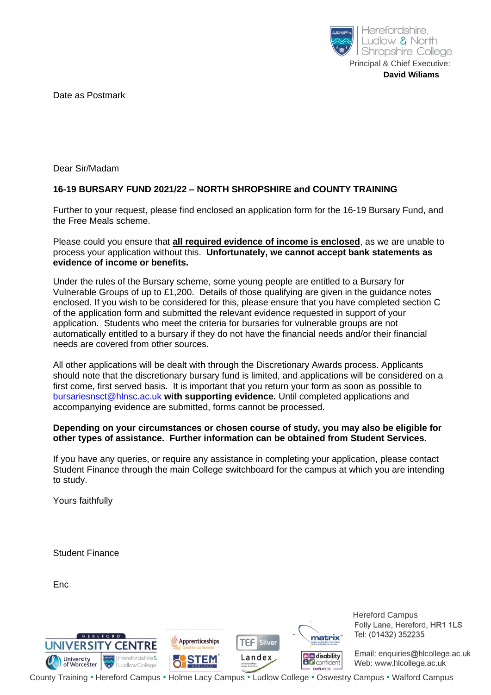

Date as Postmark

Dear Sir/Madam

## **16-19 BURSARY FUND 2021/22 – NORTH SHROPSHIRE and COUNTY TRAINING**

Further to your request, please find enclosed an application form for the 16-19 Bursary Fund, and the Free Meals scheme.

Please could you ensure that **all required evidence of income is enclosed**, as we are unable to process your application without this. **Unfortunately, we cannot accept bank statements as evidence of income or benefits.**

Under the rules of the Bursary scheme, some young people are entitled to a Bursary for Vulnerable Groups of up to £1,200. Details of those qualifying are given in the guidance notes enclosed. If you wish to be considered for this, please ensure that you have completed section C of the application form and submitted the relevant evidence requested in support of your application. Students who meet the criteria for bursaries for vulnerable groups are not automatically entitled to a bursary if they do not have the financial needs and/or their financial needs are covered from other sources.

All other applications will be dealt with through the Discretionary Awards process. Applicants should note that the discretionary bursary fund is limited, and applications will be considered on a first come, first served basis. It is important that you return your form as soon as possible to [bursariesnsct@hlnsc.ac.uk](mailto:bursariesnsct@hlnsc.ac.uk) **with supporting evidence.** Until completed applications and accompanying evidence are submitted, forms cannot be processed.

#### **Depending on your circumstances or chosen course of study, you may also be eligible for other types of assistance. Further information can be obtained from Student Services.**

If you have any queries, or require any assistance in completing your application, please contact Student Finance through the main College switchboard for the campus at which you are intending to study.

Yours faithfully

Student Finance

Enc



 Hereford Campus Folly Lane, Hereford, HR1 1LS Tel: (01432) 352235

Email: enquiries@hlcollege.ac.uk Web: www.hlcollege.ac.uk

County Training • Hereford Campus • Holme Lacy Campus • Ludlow College • Oswestry Campus • Walford Campus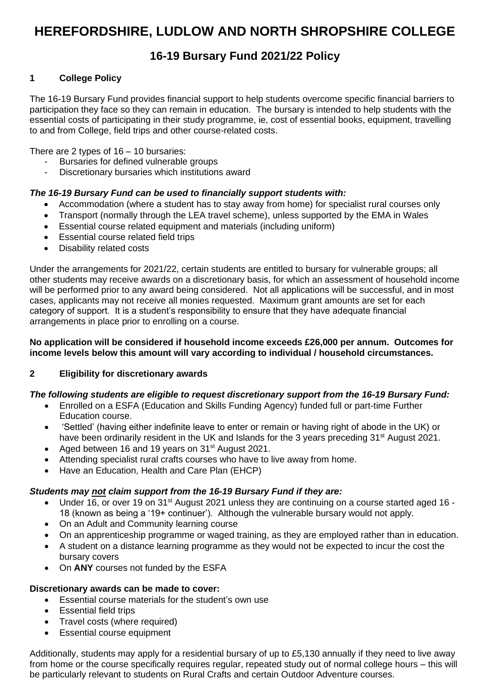# **HEREFORDSHIRE, LUDLOW AND NORTH SHROPSHIRE COLLEGE**

## **16-19 Bursary Fund 2021/22 Policy**

## **1 College Policy**

The 16-19 Bursary Fund provides financial support to help students overcome specific financial barriers to participation they face so they can remain in education. The bursary is intended to help students with the essential costs of participating in their study programme, ie, cost of essential books, equipment, travelling to and from College, field trips and other course-related costs.

There are 2 types of 16 – 10 bursaries:

- Bursaries for defined vulnerable groups
- Discretionary bursaries which institutions award

#### *The 16-19 Bursary Fund can be used to financially support students with:*

- Accommodation (where a student has to stay away from home) for specialist rural courses only
- Transport (normally through the LEA travel scheme), unless supported by the EMA in Wales
- Essential course related equipment and materials (including uniform)
- Essential course related field trips
- Disability related costs

Under the arrangements for 2021/22, certain students are entitled to bursary for vulnerable groups; all other students may receive awards on a discretionary basis, for which an assessment of household income will be performed prior to any award being considered. Not all applications will be successful, and in most cases, applicants may not receive all monies requested. Maximum grant amounts are set for each category of support. It is a student's responsibility to ensure that they have adequate financial arrangements in place prior to enrolling on a course.

#### **No application will be considered if household income exceeds £26,000 per annum. Outcomes for income levels below this amount will vary according to individual / household circumstances.**

#### **2 Eligibility for discretionary awards**

#### *The following students are eligible to request discretionary support from the 16-19 Bursary Fund:*

- Enrolled on a ESFA (Education and Skills Funding Agency) funded full or part-time Further Education course.
- 'Settled' (having either indefinite leave to enter or remain or having right of abode in the UK) or have been ordinarily resident in the UK and Islands for the 3 years preceding 31<sup>st</sup> August 2021.
- Aged between 16 and 19 years on 31<sup>st</sup> August 2021.
- Attending specialist rural crafts courses who have to live away from home.
- Have an Education, Health and Care Plan (EHCP)

#### *Students may not claim support from the 16-19 Bursary Fund if they are:*

- Under 16, or over 19 on 31<sup>st</sup> August 2021 unless they are continuing on a course started aged 16 -18 (known as being a '19+ continuer'). Although the vulnerable bursary would not apply.
- On an Adult and Community learning course
- On an apprenticeship programme or waged training, as they are employed rather than in education.
- A student on a distance learning programme as they would not be expected to incur the cost the bursary covers
- On **ANY** courses not funded by the ESFA

#### **Discretionary awards can be made to cover:**

- Essential course materials for the student's own use
- Essential field trips
- Travel costs (where required)
- Essential course equipment

Additionally, students may apply for a residential bursary of up to £5,130 annually if they need to live away from home or the course specifically requires regular, repeated study out of normal college hours – this will be particularly relevant to students on Rural Crafts and certain Outdoor Adventure courses.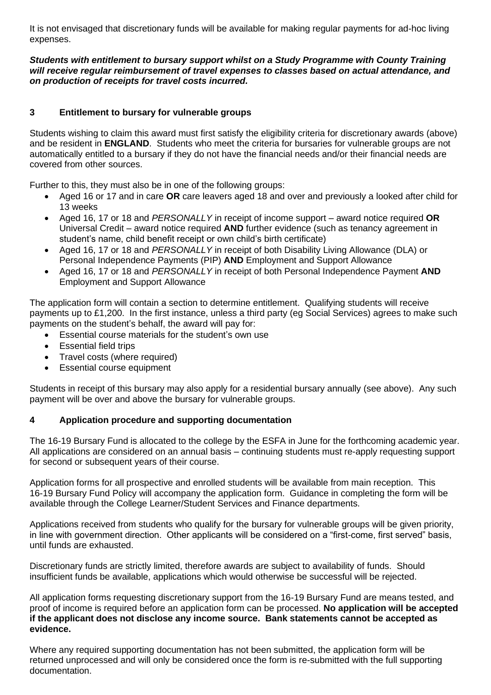It is not envisaged that discretionary funds will be available for making regular payments for ad-hoc living expenses.

*Students with entitlement to bursary support whilst on a Study Programme with County Training will receive regular reimbursement of travel expenses to classes based on actual attendance, and on production of receipts for travel costs incurred.*

## **3 Entitlement to bursary for vulnerable groups**

Students wishing to claim this award must first satisfy the eligibility criteria for discretionary awards (above) and be resident in **ENGLAND**. Students who meet the criteria for bursaries for vulnerable groups are not automatically entitled to a bursary if they do not have the financial needs and/or their financial needs are covered from other sources.

Further to this, they must also be in one of the following groups:

- Aged 16 or 17 and in care **OR** care leavers aged 18 and over and previously a looked after child for 13 weeks
- Aged 16, 17 or 18 and *PERSONALLY* in receipt of income support award notice required **OR** Universal Credit – award notice required **AND** further evidence (such as tenancy agreement in student's name, child benefit receipt or own child's birth certificate)
- Aged 16, 17 or 18 and *PERSONALLY* in receipt of both Disability Living Allowance (DLA) or Personal Independence Payments (PIP) **AND** Employment and Support Allowance
- Aged 16, 17 or 18 and *PERSONALLY* in receipt of both Personal Independence Payment **AND** Employment and Support Allowance

The application form will contain a section to determine entitlement. Qualifying students will receive payments up to £1,200. In the first instance, unless a third party (eg Social Services) agrees to make such payments on the student's behalf, the award will pay for:

- Essential course materials for the student's own use
- Essential field trips
- Travel costs (where required)
- **Essential course equipment**

Students in receipt of this bursary may also apply for a residential bursary annually (see above). Any such payment will be over and above the bursary for vulnerable groups.

#### **4 Application procedure and supporting documentation**

The 16-19 Bursary Fund is allocated to the college by the ESFA in June for the forthcoming academic year. All applications are considered on an annual basis – continuing students must re-apply requesting support for second or subsequent years of their course.

Application forms for all prospective and enrolled students will be available from main reception. This 16-19 Bursary Fund Policy will accompany the application form. Guidance in completing the form will be available through the College Learner/Student Services and Finance departments.

Applications received from students who qualify for the bursary for vulnerable groups will be given priority, in line with government direction. Other applicants will be considered on a "first-come, first served" basis, until funds are exhausted.

Discretionary funds are strictly limited, therefore awards are subject to availability of funds. Should insufficient funds be available, applications which would otherwise be successful will be rejected.

All application forms requesting discretionary support from the 16-19 Bursary Fund are means tested, and proof of income is required before an application form can be processed. **No application will be accepted if the applicant does not disclose any income source. Bank statements cannot be accepted as evidence.**

Where any required supporting documentation has not been submitted, the application form will be returned unprocessed and will only be considered once the form is re-submitted with the full supporting documentation.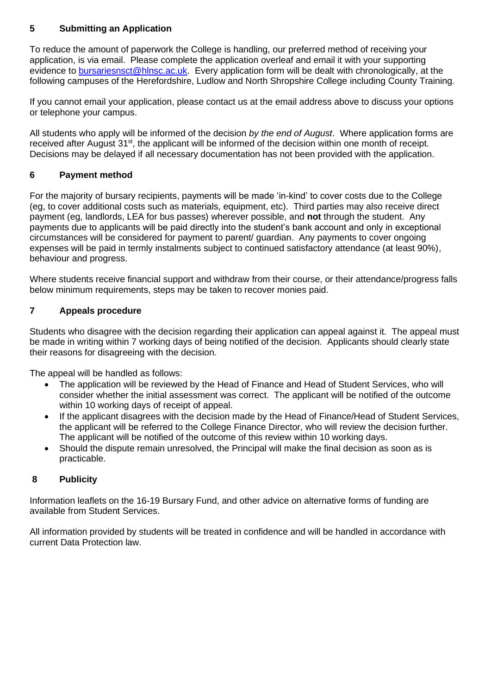## **5 Submitting an Application**

To reduce the amount of paperwork the College is handling, our preferred method of receiving your application, is via email. Please complete the application overleaf and email it with your supporting evidence to [bursariesnsct@hlnsc.ac.uk.](mailto:bursariesnsct@hlnsc.ac.uk) Every application form will be dealt with chronologically, at the following campuses of the Herefordshire, Ludlow and North Shropshire College including County Training.

If you cannot email your application, please contact us at the email address above to discuss your options or telephone your campus.

All students who apply will be informed of the decision *by the end of August*. Where application forms are received after August 31st, the applicant will be informed of the decision within one month of receipt. Decisions may be delayed if all necessary documentation has not been provided with the application.

#### **6 Payment method**

For the majority of bursary recipients, payments will be made 'in-kind' to cover costs due to the College (eg, to cover additional costs such as materials, equipment, etc). Third parties may also receive direct payment (eg, landlords, LEA for bus passes) wherever possible, and **not** through the student. Any payments due to applicants will be paid directly into the student's bank account and only in exceptional circumstances will be considered for payment to parent/ guardian. Any payments to cover ongoing expenses will be paid in termly instalments subject to continued satisfactory attendance (at least 90%), behaviour and progress.

Where students receive financial support and withdraw from their course, or their attendance/progress falls below minimum requirements, steps may be taken to recover monies paid.

#### **7 Appeals procedure**

Students who disagree with the decision regarding their application can appeal against it. The appeal must be made in writing within 7 working days of being notified of the decision. Applicants should clearly state their reasons for disagreeing with the decision.

The appeal will be handled as follows:

- The application will be reviewed by the Head of Finance and Head of Student Services, who will consider whether the initial assessment was correct. The applicant will be notified of the outcome within 10 working days of receipt of appeal.
- If the applicant disagrees with the decision made by the Head of Finance/Head of Student Services, the applicant will be referred to the College Finance Director, who will review the decision further. The applicant will be notified of the outcome of this review within 10 working days.
- Should the dispute remain unresolved, the Principal will make the final decision as soon as is practicable.

#### **8 Publicity**

Information leaflets on the 16-19 Bursary Fund, and other advice on alternative forms of funding are available from Student Services.

All information provided by students will be treated in confidence and will be handled in accordance with current Data Protection law.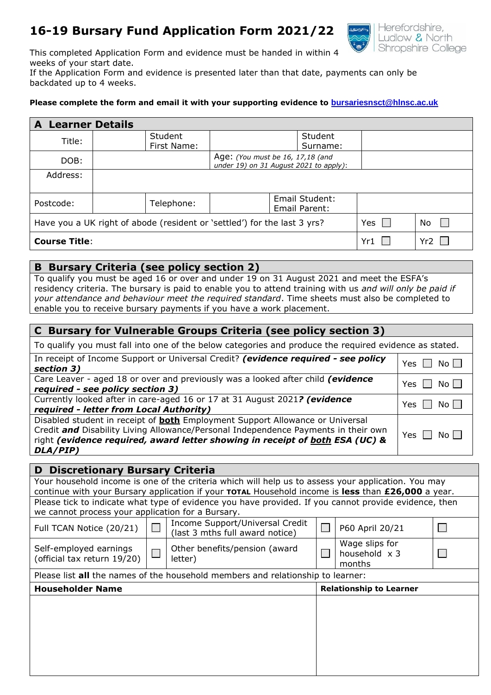## **16-19 Bursary Fund Application Form 2021/22**



This completed Application Form and evidence must be handed in within 4 weeks of your start date.

If the Application Form and evidence is presented later than that date, payments can only be backdated up to 4 weeks.

#### **Please complete the form and email it with your supporting evidence to [bursariesnsct@hlnsc.ac.uk](mailto:bursariesnsct@hlnsc.ac.uk)**

| <b>A Learner Details</b>                                                 |             |                                                                            |  |  |
|--------------------------------------------------------------------------|-------------|----------------------------------------------------------------------------|--|--|
| Title:                                                                   | Student     | Student                                                                    |  |  |
|                                                                          | First Name: | Surname:                                                                   |  |  |
| DOB:                                                                     |             | Age: (You must be 16, 17,18 (and<br>under 19) on 31 August 2021 to apply): |  |  |
|                                                                          |             |                                                                            |  |  |
| Address:                                                                 |             |                                                                            |  |  |
|                                                                          |             |                                                                            |  |  |
| Postcode:                                                                | Telephone:  | Email Student:                                                             |  |  |
|                                                                          |             | Email Parent:                                                              |  |  |
| Have you a UK right of abode (resident or 'settled') for the last 3 yrs? | Yes         | No                                                                         |  |  |
| <b>Course Title:</b>                                                     | Yr1         | Yr <sub>2</sub>                                                            |  |  |

#### **B Bursary Criteria (see policy section 2)**

To qualify you must be aged 16 or over and under 19 on 31 August 2021 and meet the ESFA's residency criteria. The bursary is paid to enable you to attend training with us *and will only be paid if your attendance and behaviour meet the required standard*. Time sheets must also be completed to enable you to receive bursary payments if you have a work placement.

## **C Bursary for Vulnerable Groups Criteria (see policy section 3)**

| To qualify you must fall into one of the below categories and produce the required evidence as stated.                                                                                                                                                                        |               |  |  |  |
|-------------------------------------------------------------------------------------------------------------------------------------------------------------------------------------------------------------------------------------------------------------------------------|---------------|--|--|--|
| In receipt of Income Support or Universal Credit? (evidence required - see policy                                                                                                                                                                                             | $No$ $ $      |  |  |  |
| section 3)                                                                                                                                                                                                                                                                    | Yes           |  |  |  |
| Care Leaver - aged 18 or over and previously was a looked after child (evidence                                                                                                                                                                                               | No            |  |  |  |
| required - see policy section 3)                                                                                                                                                                                                                                              | Yes           |  |  |  |
| Currently looked after in care-aged 16 or 17 at 31 August 2021? (evidence                                                                                                                                                                                                     | Yes           |  |  |  |
| required - letter from Local Authority)                                                                                                                                                                                                                                       | No l          |  |  |  |
| Disabled student in receipt of <b>both</b> Employment Support Allowance or Universal<br>Credit <b>and</b> Disability Living Allowance/Personal Independence Payments in their own<br>right (evidence required, award letter showing in receipt of both ESA (UC) &<br>DLA/PIP) | No    <br>Yes |  |  |  |

| <b>D</b> Discretionary Bursary Criteria                                                               |  |                                                                    |  |                                                  |  |  |  |
|-------------------------------------------------------------------------------------------------------|--|--------------------------------------------------------------------|--|--------------------------------------------------|--|--|--|
| Your household income is one of the criteria which will help us to assess your application. You may   |  |                                                                    |  |                                                  |  |  |  |
| continue with your Bursary application if your TOTAL Household income is less than £26,000 a year.    |  |                                                                    |  |                                                  |  |  |  |
| Please tick to indicate what type of evidence you have provided. If you cannot provide evidence, then |  |                                                                    |  |                                                  |  |  |  |
| we cannot process your application for a Bursary.                                                     |  |                                                                    |  |                                                  |  |  |  |
| Full TCAN Notice (20/21)                                                                              |  | Income Support/Universal Credit<br>(last 3 mths full award notice) |  | P60 April 20/21                                  |  |  |  |
| Self-employed earnings<br>(official tax return 19/20)                                                 |  | Other benefits/pension (award<br>letter)                           |  | Wage slips for<br>household $\times$ 3<br>months |  |  |  |
| Please list all the names of the household members and relationship to learner:                       |  |                                                                    |  |                                                  |  |  |  |
| <b>Householder Name</b>                                                                               |  |                                                                    |  | <b>Relationship to Learner</b>                   |  |  |  |
|                                                                                                       |  |                                                                    |  |                                                  |  |  |  |